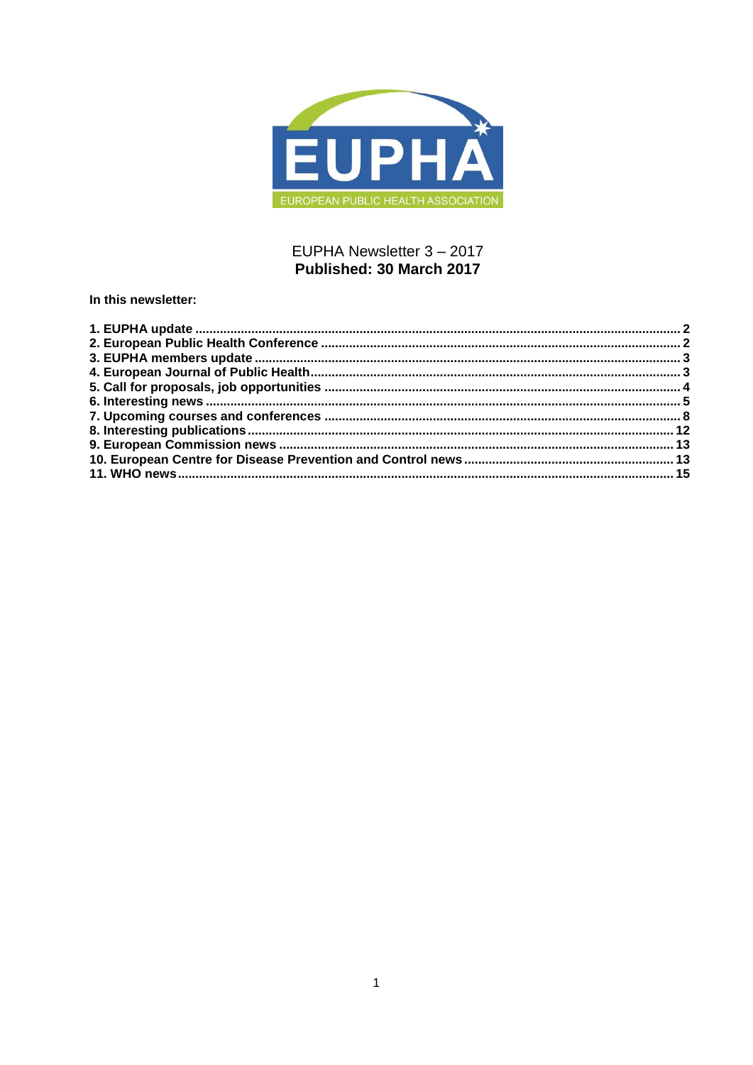

### EUPHA Newsletter 3 - 2017 Published: 30 March 2017

In this newsletter:

<span id="page-0-0"></span>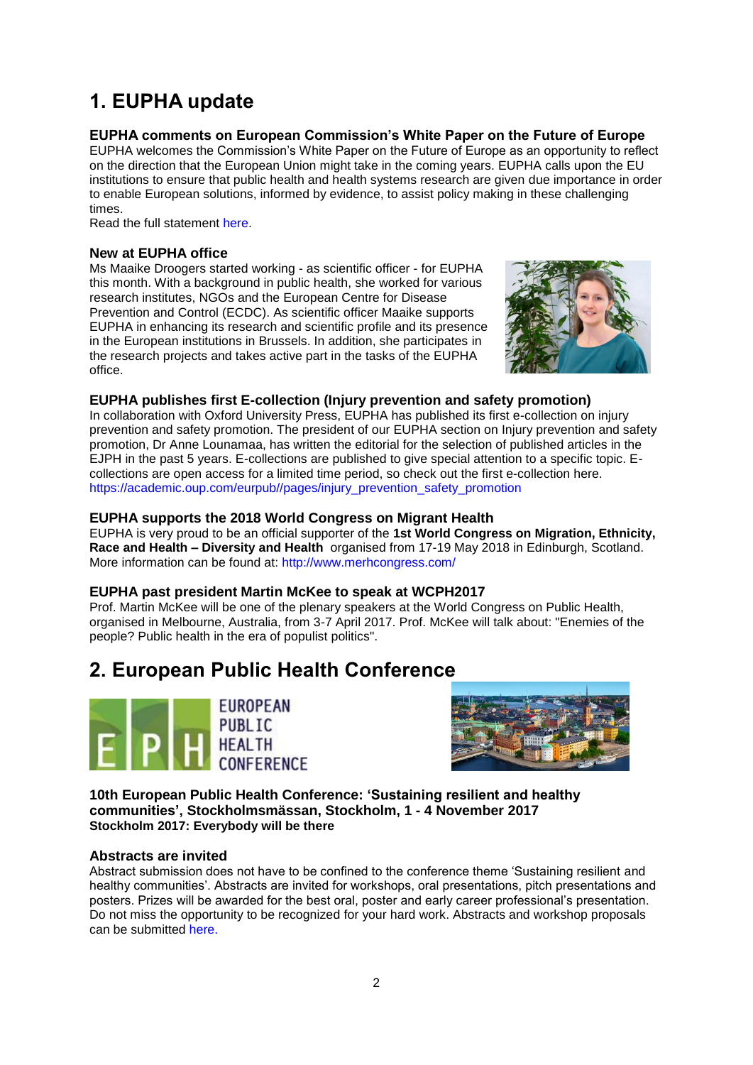# **1. EUPHA update**

**EUPHA comments on European Commission's White Paper on the Future of Europe**

EUPHA welcomes the Commission's White Paper on the Future of Europe as an opportunity to reflect on the direction that the European Union might take in the coming years. EUPHA calls upon the EU institutions to ensure that public health and health systems research are given due importance in order to enable European solutions, informed by evidence, to assist policy making in these challenging times.

Read the full statement [here.](https://eupha.org/advocacy-by-eupha)

### **New at EUPHA office**

Ms Maaike Droogers started working - as scientific officer - for EUPHA this month. With a background in public health, she worked for various research institutes, NGOs and the European Centre for Disease Prevention and Control (ECDC). As scientific officer Maaike supports EUPHA in enhancing its research and scientific profile and its presence in the European institutions in Brussels. In addition, she participates in the research projects and takes active part in the tasks of the EUPHA office.



### **EUPHA publishes first E-collection (Injury prevention and safety promotion)**

In collaboration with Oxford University Press, EUPHA has published its first e-collection on injury prevention and safety promotion. The president of our EUPHA section on Injury prevention and safety promotion, Dr Anne Lounamaa, has written the editorial for the selection of published articles in the EJPH in the past 5 years. E-collections are published to give special attention to a specific topic. Ecollections are open access for a limited time period, so check out the first e-collection here. [https://academic.oup.com/eurpub//pages/injury\\_prevention\\_safety\\_promotion](https://academic.oup.com/eurpub/pages/injury_prevention_safety_promotion)

### **EUPHA supports the 2018 World Congress on Migrant Health**

EUPHA is very proud to be an official supporter of the **1st World Congress on Migration, Ethnicity, Race and Health – Diversity and Health** organised from 17-19 May 2018 in Edinburgh, Scotland. More information can be found at:<http://www.merhcongress.com/>

### **EUPHA past president Martin McKee to speak at WCPH2017**

Prof. Martin McKee will be one of the plenary speakers at the World Congress on Public Health, organised in Melbourne, Australia, from 3-7 April 2017. Prof. McKee will talk about: "Enemies of the people? Public health in the era of populist politics".

## <span id="page-1-0"></span>**2. European Public Health Conference**





**10th European Public Health Conference: 'Sustaining resilient and healthy communities', Stockholmsmässan, Stockholm, 1 - 4 November 2017 Stockholm 2017: Everybody will be there** 

### **Abstracts are invited**

Abstract submission does not have to be confined to the conference theme 'Sustaining resilient and healthy communities'. Abstracts are invited for workshops, oral presentations, pitch presentations and posters. Prizes will be awarded for the best oral, poster and early career professional's presentation. Do not miss the opportunity to be recognized for your hard work. Abstracts and workshop proposals can be submitted [here.](https://ephconference.eu/)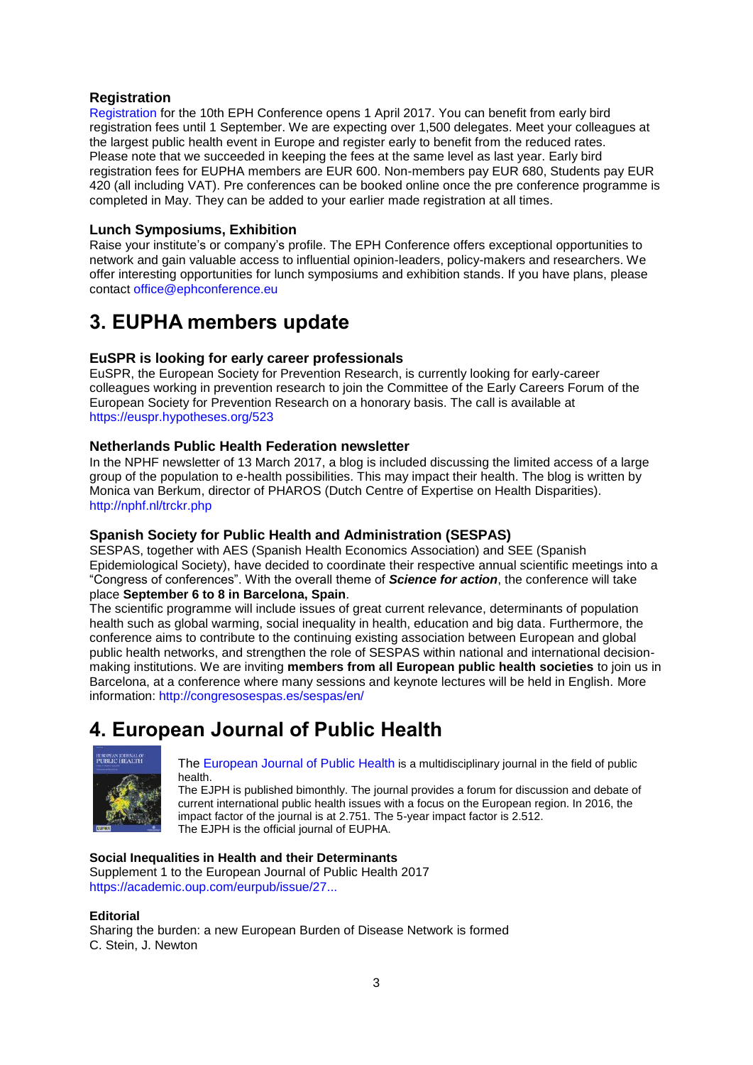### **Registration**

[Registration](https://ephconference.eu/registration-fees-and-information-20) for the 10th EPH Conference opens 1 April 2017. You can benefit from early bird registration fees until 1 September. We are expecting over 1,500 delegates. Meet your colleagues at the largest public health event in Europe and register early to benefit from the reduced rates. Please note that we succeeded in keeping the fees at the same level as last year. Early bird registration fees for EUPHA members are EUR 600. Non-members pay EUR 680, Students pay EUR 420 (all including VAT). Pre conferences can be booked online once the pre conference programme is completed in May. They can be added to your earlier made registration at all times.

### **Lunch Symposiums, Exhibition**

Raise your institute's or company's profile. The EPH Conference offers exceptional opportunities to network and gain valuable access to influential opinion-leaders, policy-makers and researchers. We offer interesting opportunities for lunch symposiums and exhibition stands. If you have plans, please contact [office@ephconference.eu](mailto:office@ephconference.eu)

## <span id="page-2-0"></span>**3. EUPHA members update**

### **EuSPR is looking for early career professionals**

EuSPR, the European Society for Prevention Research, is currently looking for early-career colleagues working in prevention research to join the Committee of the Early Careers Forum of the European Society for Prevention Research on a honorary basis. The call is available at <https://euspr.hypotheses.org/523>

### **Netherlands Public Health Federation newsletter**

In the NPHF newsletter of 13 March 2017, a blog is included discussing the limited access of a large group of the population to e-health possibilities. This may impact their health. The blog is written by Monica van Berkum, director of PHAROS (Dutch Centre of Expertise on Health Disparities). [http://nphf.nl/trckr.php](http://nphf.nl/trckr.php?type=link&campaign=229&hash=02a2234fc84f2ef4c29dd4bb70b55fed&url=http://www.nphf.nl/footage/doc/pdf/NPHF_NL_Blog_92_20170314_MB.pdf)

### **Spanish Society for Public Health and Administration (SESPAS)**

SESPAS, together with AES (Spanish Health Economics Association) and SEE (Spanish Epidemiological Society), have decided to coordinate their respective annual scientific meetings into a "Congress of conferences". With the overall theme of *Science for action*, the conference will take place **September 6 to 8 in Barcelona, Spain**.

The scientific programme will include issues of great current relevance, determinants of population health such as global warming, social inequality in health, education and big data. Furthermore, the conference aims to contribute to the continuing existing association between European and global public health networks, and strengthen the role of SESPAS within national and international decisionmaking institutions. We are inviting **members from all European public health societies** to join us in Barcelona, at a conference where many sessions and keynote lectures will be held in English. More information: <http://congresosespas.es/sespas/en/>

## <span id="page-2-1"></span>**4. European Journal of Public Health**



[The European Journal of Public Health](http://eurpub.oxfordjournals.org/) is a multidisciplinary journal in the field of public health.

The EJPH is published bimonthly. The journal provides a forum for discussion and debate of current international public health issues with a focus on the European region. In 2016, the impact factor of the journal is at 2.751. The 5-year impact factor is 2.512. The EJPH is the official journal of EUPHA.

#### **Social Inequalities in Health and their Determinants** Supplement 1 to the European Journal of Public Health 2017 [https://academic.oup.com/eurpub/issue/27...](https://academic.oup.com/eurpub/issue/27/suppl_1)

#### **Editorial**

Sharing the burden: a new European Burden of Disease Network is formed C. Stein, J. Newton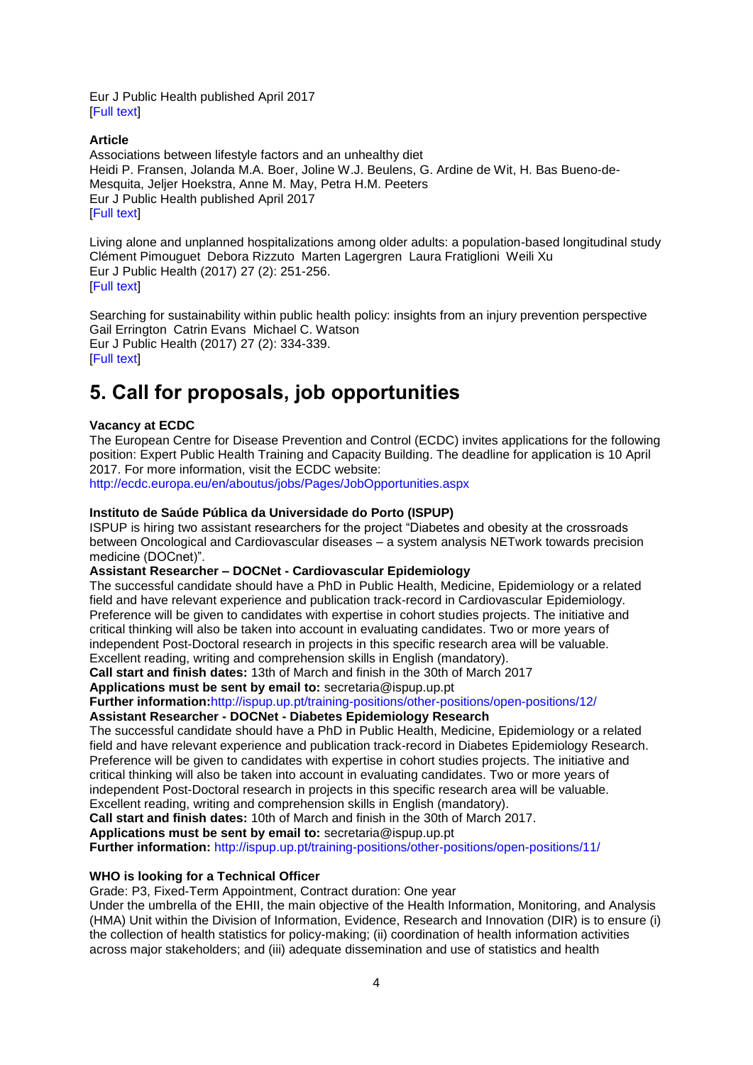Eur J Public Health published April 2017 [\[Full text\]](https://academic.oup.com/eurpub/article/27/2/191/3091413/Sharing-the-burden-a-new-European-Burden-of)

### **Article**

Associations between lifestyle factors and an unhealthy diet [Heidi P. Fransen, Jolanda M.A. Boer, Joline W.J. Beulens, G. Ardine de Wit, H. Bas Bueno-de-](javascript:;)[Mesquita, Jeljer Hoekstra, Anne M. May, Petra H.M. Peeters](javascript:;) Eur J Public Health published April 2017 **[\[Full text\]](https://academic.oup.com/eurpub/article-abstract/27/2/274/2418688/Associations-between-lifestyle-factors-and-an?redirectedFrom=fulltext)** 

Living alone and unplanned hospitalizations among older adults: a population-based longitudinal study Clément Pimouguet Debora Rizzuto Marten Lagergren Laura Fratiglioni Weili Xu Eur J Public Health (2017) 27 (2): 251-256. [\[Full text\]](https://doi.org/10.1093/eurpub/ckw150)

Searching for sustainability within public health policy: insights from an injury prevention perspective Gail Errington Catrin Evans Michael C. Watson Eur J Public Health (2017) 27 (2): 334-339. **IFull textl** 

## <span id="page-3-0"></span>**5. Call for proposals, job opportunities**

### **Vacancy at ECDC**

The European Centre for Disease Prevention and Control (ECDC) invites applications for the following position: Expert Public Health Training and Capacity Building. The deadline for application is 10 April 2017. For more information, visit the ECDC website:

<http://ecdc.europa.eu/en/aboutus/jobs/Pages/JobOpportunities.aspx>

### **Instituto de Saúde Pública da Universidade do Porto (ISPUP)**

ISPUP is hiring two assistant researchers for the project "Diabetes and obesity at the crossroads between Oncological and Cardiovascular diseases – a system analysis NETwork towards precision medicine (DOCnet)".

### **Assistant Researcher – DOCNet - Cardiovascular Epidemiology**

The successful candidate should have a PhD in Public Health, Medicine, Epidemiology or a related field and have relevant experience and publication track-record in Cardiovascular Epidemiology. Preference will be given to candidates with expertise in cohort studies projects. The initiative and critical thinking will also be taken into account in evaluating candidates. Two or more years of independent Post-Doctoral research in projects in this specific research area will be valuable. Excellent reading, writing and comprehension skills in English (mandatory).

**Call start and finish dates:** 13th of March and finish in the 30th of March 2017 **Applications must be sent by email to:** secretaria@ispup.up.pt

**Further information:**<http://ispup.up.pt/training-positions/other-positions/open-positions/12/>

### **Assistant Researcher - DOCNet - Diabetes Epidemiology Research**

The successful candidate should have a PhD in Public Health, Medicine, Epidemiology or a related field and have relevant experience and publication track-record in Diabetes Epidemiology Research. Preference will be given to candidates with expertise in cohort studies projects. The initiative and critical thinking will also be taken into account in evaluating candidates. Two or more years of independent Post-Doctoral research in projects in this specific research area will be valuable. Excellent reading, writing and comprehension skills in English (mandatory).

**Call start and finish dates:** 10th of March and finish in the 30th of March 2017.

**Applications must be sent by email to:** secretaria@ispup.up.pt

**Further information:** <http://ispup.up.pt/training-positions/other-positions/open-positions/11/>

### **WHO is looking for a Technical Officer**

Grade: P3, Fixed-Term Appointment, Contract duration: One year

Under the umbrella of the EHII, the main objective of the Health Information, Monitoring, and Analysis (HMA) Unit within the Division of Information, Evidence, Research and Innovation (DIR) is to ensure (i) the collection of health statistics for policy-making; (ii) coordination of health information activities across major stakeholders; and (iii) adequate dissemination and use of statistics and health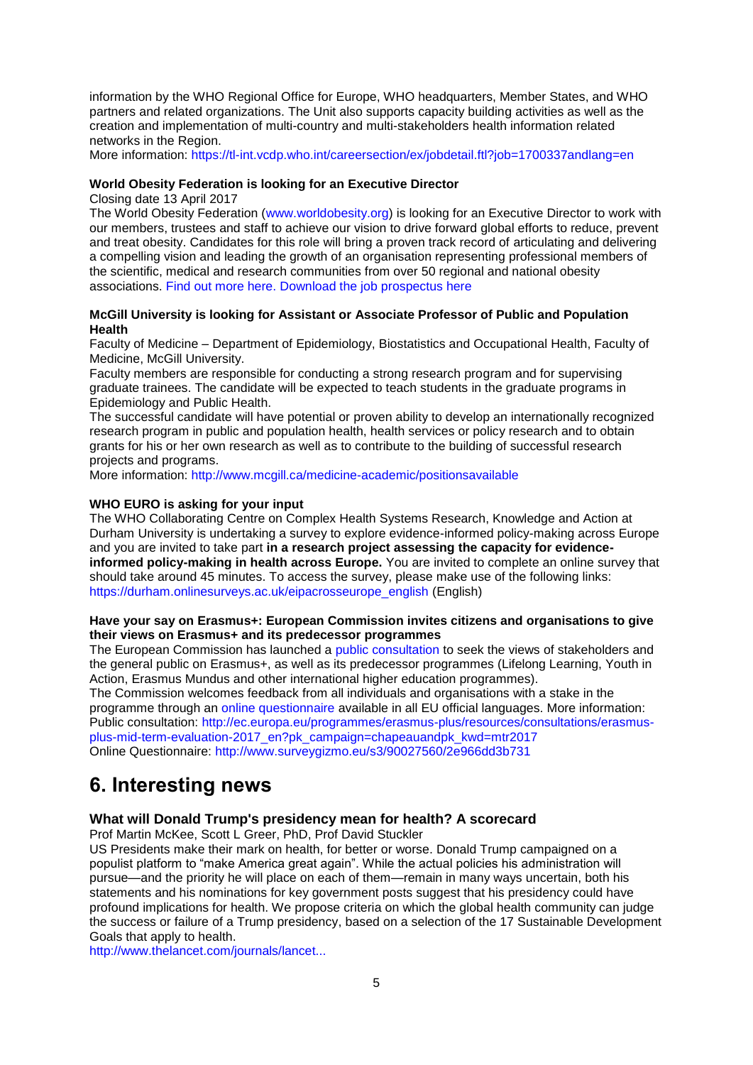information by the WHO Regional Office for Europe, WHO headquarters, Member States, and WHO partners and related organizations. The Unit also supports capacity building activities as well as the creation and implementation of multi-country and multi-stakeholders health information related networks in the Region.

More information: https://tl-int.vcdp.who.int/careersection/ex/iobdetail.ftl?iob=1700337andlang=en

#### **World Obesity Federation is looking for an Executive Director**

Closing date 13 April 2017

The World Obesity Federation [\(www.worldobesity.org\)](http://www.worldobesity.org/) is looking for an Executive Director to work with our members, trustees and staff to achieve our vision to drive forward global efforts to reduce, prevent and treat obesity. Candidates for this role will bring a proven track record of articulating and delivering a compelling vision and leading the growth of an organisation representing professional members of the scientific, medical and research communities from over 50 regional and national obesity associations. [Find out more here.](http://www.worldobesity.org/who-we-are/staff/career-opportunities/) [Download the job prospectus here](http://www.worldobesity.org/site_media/uploads/Executive_Director_Job_Prospectus.pdf)

#### **McGill University is looking for Assistant or Associate Professor of Public and Population Health**

Faculty of Medicine – Department of Epidemiology, Biostatistics and Occupational Health, Faculty of Medicine, McGill University.

Faculty members are responsible for conducting a strong research program and for supervising graduate trainees. The candidate will be expected to teach students in the graduate programs in Epidemiology and Public Health.

The successful candidate will have potential or proven ability to develop an internationally recognized research program in public and population health, health services or policy research and to obtain grants for his or her own research as well as to contribute to the building of successful research projects and programs.

More information:<http://www.mcgill.ca/medicine-academic/positionsavailable>

#### **WHO EURO is asking for your input**

The WHO Collaborating Centre on Complex Health Systems Research, Knowledge and Action at Durham University is undertaking a survey to explore evidence-informed policy-making across Europe and you are invited to take part **in a research project assessing the capacity for evidenceinformed policy-making in health across Europe.** You are invited to complete an online survey that should take around 45 minutes. To access the survey, please make use of the following links: [https://durham.onlinesurveys.ac.uk/eipacrosseurope\\_english](https://durham.onlinesurveys.ac.uk/eipacrosseurope_english) (English)

#### **Have your say on Erasmus+: European Commission invites citizens and organisations to give their views on Erasmus+ and its predecessor programmes**

The European Commission has launched a [public consultation](http://ec.europa.eu/programmes/erasmus-plus/resources/consultations/erasmus-plus-mid-term-evaluation-2017_en?pk_campaign=chapeauandpk_kwd=mtr2017) to seek the views of stakeholders and the general public on Erasmus+, as well as its predecessor programmes (Lifelong Learning, Youth in Action, Erasmus Mundus and other international higher education programmes).

The Commission welcomes feedback from all individuals and organisations with a stake in the programme through an [online questionnaire](http://www.surveygizmo.eu/s3/90027560/2e966dd3b731) available in all EU official languages. More information: Public consultation: [http://ec.europa.eu/programmes/erasmus-plus/resources/consultations/erasmus](http://ec.europa.eu/programmes/erasmus-plus/resources/consultations/erasmus-plus-mid-term-evaluation-2017_en?pk_campaign=chapeauandpk_kwd=mtr2017)[plus-mid-term-evaluation-2017\\_en?pk\\_campaign=chapeauandpk\\_kwd=mtr2017](http://ec.europa.eu/programmes/erasmus-plus/resources/consultations/erasmus-plus-mid-term-evaluation-2017_en?pk_campaign=chapeauandpk_kwd=mtr2017) Online Questionnaire:<http://www.surveygizmo.eu/s3/90027560/2e966dd3b731>

## <span id="page-4-0"></span>**6. Interesting news**

#### **What will Donald Trump's presidency mean for health? A scorecard**

Prof Martin McKee, Scott L Greer, PhD, Prof David Stuckler

US Presidents make their mark on health, for better or worse. Donald Trump campaigned on a populist platform to "make America great again". While the actual policies his administration will pursue—and the priority he will place on each of them—remain in many ways uncertain, both his statements and his nominations for key government posts suggest that his presidency could have profound implications for health. We propose criteria on which the global health community can judge the success or failure of a Trump presidency, based on a selection of the 17 Sustainable Development Goals that apply to health.

[http://www.thelancet.com/journals/lancet...](http://www.thelancet.com/journals/lancet/article/PIIS0140-6736(17)30122-8/abstract)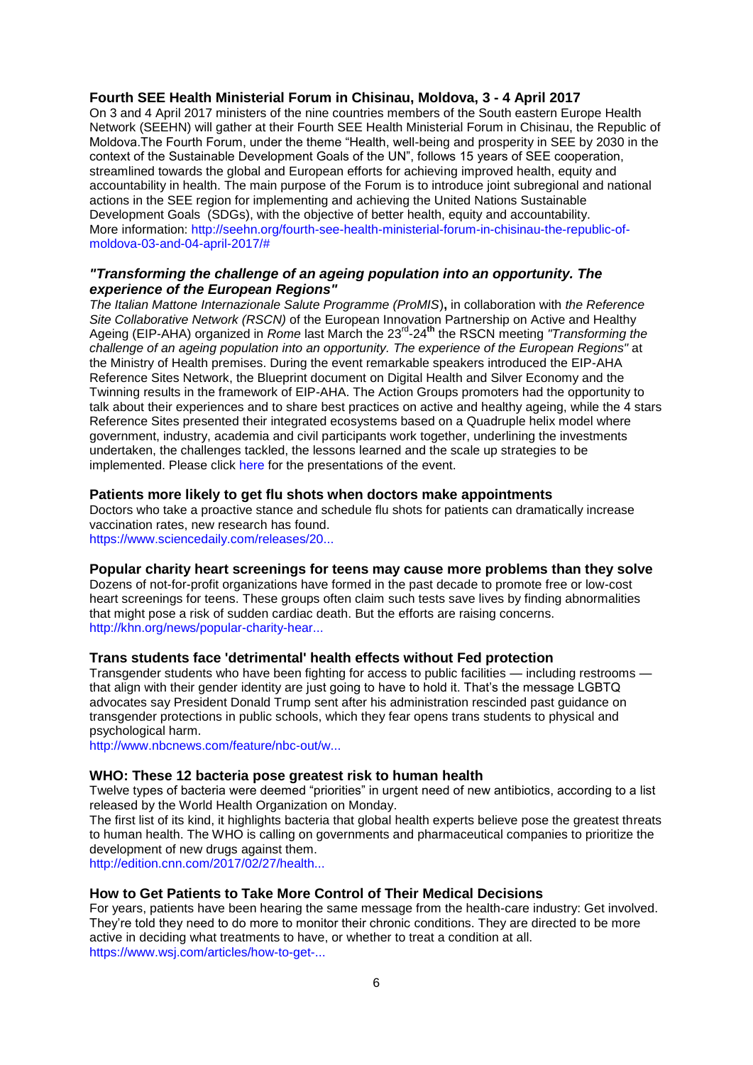### **Fourth SEE Health Ministerial Forum in Chisinau, Moldova, 3 - 4 April 2017**

On 3 and 4 April 2017 ministers of the nine countries members of the South eastern Europe Health Network (SEEHN) will gather at their Fourth SEE Health Ministerial Forum in Chisinau, the Republic of Moldova.The Fourth Forum, under the theme "Health, well-being and prosperity in SEE by 2030 in the context of the Sustainable Development Goals of the UN", follows 15 years of SEE cooperation, streamlined towards the global and European efforts for achieving improved health, equity and accountability in health. The main purpose of the Forum is to introduce joint subregional and national actions in the SEE region for implementing and achieving the United Nations Sustainable Development Goals (SDGs), with the objective of better health, equity and accountability. More information: [http://seehn.org/fourth-see-health-ministerial-forum-in-chisinau-the-republic-of](http://seehn.org/fourth-see-health-ministerial-forum-in-chisinau-the-republic-of-moldova-03-and-04-april-2017/)[moldova-03-and-04-april-2017/#](http://seehn.org/fourth-see-health-ministerial-forum-in-chisinau-the-republic-of-moldova-03-and-04-april-2017/)

### *"Transforming the challenge of an ageing population into an opportunity. The experience of the European Regions"*

*The Italian Mattone Internazionale Salute Programme (ProMIS*)**,** in collaboration with *the Reference Site Collaborative Network (RSCN)* of the European Innovation Partnership on Active and Healthy Ageing (EIP-AHA) organized in *Rome* last March the 23rd -24**th** the RSCN meeting *"Transforming the challenge of an ageing population into an opportunity. The experience of the European Regions"* at the Ministry of Health premises. During the event remarkable speakers introduced the EIP-AHA Reference Sites Network, the Blueprint document on Digital Health and Silver Economy and the Twinning results in the framework of EIP-AHA. The Action Groups promoters had the opportunity to talk about their experiences and to share best practices on active and healthy ageing, while the 4 stars Reference Sites presented their integrated ecosystems based on a Quadruple helix model where government, industry, academia and civil participants work together, underlining the investments undertaken, the challenges tackled, the lessons learned and the scale up strategies to be implemented. Please click [here](http://www.promisalute.it/servizi/eventi/cerca_fase03.aspx?ID=2687) for the presentations of the event.

### **Patients more likely to get flu shots when doctors make appointments**

Doctors who take a proactive stance and schedule flu shots for patients can dramatically increase vaccination rates, new research has found. [https://www.sciencedaily.com/releases/20...](https://www.sciencedaily.com/releases/2017/03/170310084214.htm?utm_source=feedburner&utm_medium=email&utm_campaign=Feed%3A+sciencedaily%2Fscience_society%2Fpublic_health+%28Public+Health+News+--+Scien)

#### **Popular charity heart screenings for teens may cause more problems than they solve** Dozens of not-for-profit organizations have formed in the past decade to promote free or low-cost

heart screenings for teens. These groups often claim such tests save lives by finding abnormalities that might pose a risk of sudden cardiac death. But the efforts are raising concerns. [http://khn.org/news/popular-charity-hear...](http://khn.org/news/popular-charity-heart-screenings-for-teens-may-cause-more-problems-than-they-solve/)

### **Trans students face 'detrimental' health effects without Fed protection**

Transgender students who have been fighting for access to public facilities — including restrooms that align with their gender identity are just going to have to hold it. That's the message LGBTQ advocates say President Donald Trump sent after his administration rescinded past guidance on transgender protections in public schools, which they fear opens trans students to physical and psychological harm.

[http://www.nbcnews.com/feature/nbc-out/w...](http://www.nbcnews.com/feature/nbc-out/without-federal-protections-trans-students-face-potential-health-crisis-n725156)

### **WHO: These 12 bacteria pose greatest risk to human health**

Twelve types of bacteria were deemed "priorities" in urgent need of new antibiotics, according to a list released by the World Health Organization on Monday.

The first list of its kind, it highlights bacteria that global health experts believe pose the greatest threats to human health. The WHO is calling on governments and pharmaceutical companies to prioritize the development of new drugs against them.

[http://edition.cnn.com/2017/02/27/health...](http://edition.cnn.com/2017/02/27/health/who-bacteria-antibiotics-list-amr/)

### **How to Get Patients to Take More Control of Their Medical Decisions**

For years, patients have been hearing the same message from the health-care industry: Get involved. They're told they need to do more to monitor their chronic conditions. They are directed to be more active in deciding what treatments to have, or whether to treat a condition at all. [https://www.wsj.com/articles/how-to-get-...](https://www.wsj.com/articles/how-to-get-patients-to-take-more-control-of-their-medical-decisions-1488164941?utm_campaign=KHN%3A%20First%20Edition&utm_source=hs_email&utm_medium=email&utm_content=43514)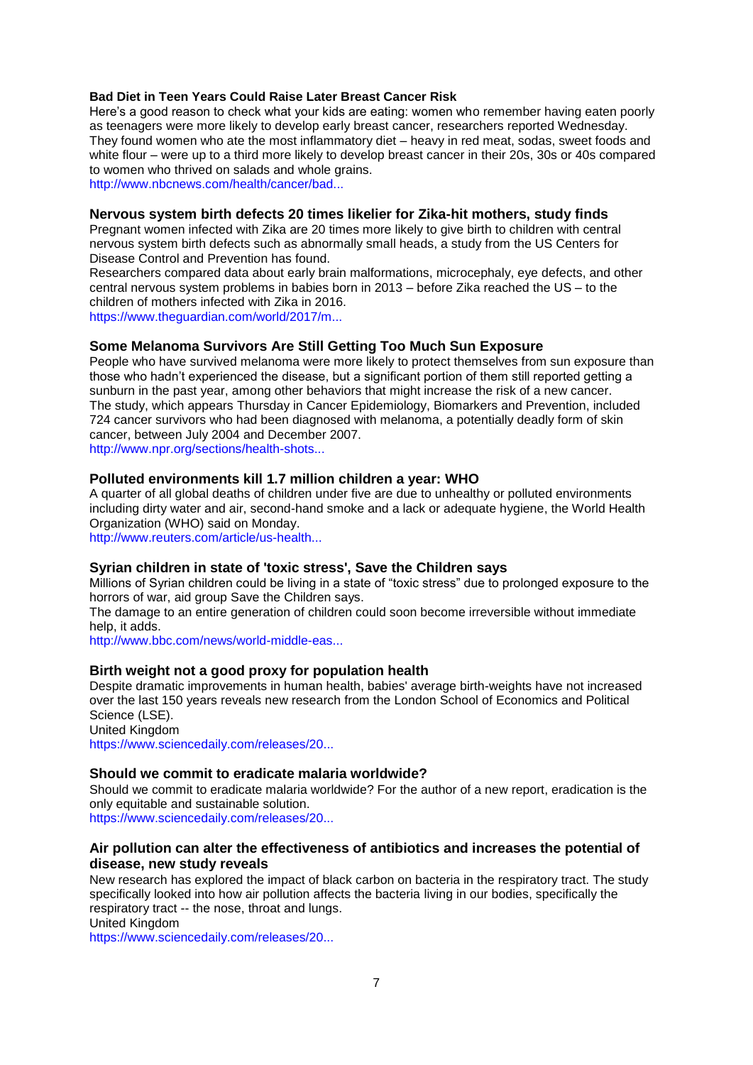#### **Bad Diet in Teen Years Could Raise Later Breast Cancer Risk**

Here's a good reason to check what your kids are eating: women who remember having eaten poorly as teenagers were more likely to develop early breast cancer, researchers reported Wednesday. They found women who ate the most inflammatory diet – heavy in red meat, sodas, sweet foods and white flour – were up to a third more likely to develop breast cancer in their 20s, 30s or 40s compared to women who thrived on salads and whole grains.

[http://www.nbcnews.com/health/cancer/bad...](http://www.nbcnews.com/health/cancer/bad-diet-teen-years-could-raise-later-breast-cancer-risk-n727881)

#### **Nervous system birth defects 20 times likelier for Zika-hit mothers, study finds**

Pregnant women infected with Zika are 20 times more likely to give birth to children with central nervous system birth defects such as abnormally small heads, a study from the US Centers for Disease Control and Prevention has found.

Researchers compared data about early brain malformations, microcephaly, eye defects, and other central nervous system problems in babies born in 2013 – before Zika reached the US – to the children of mothers infected with Zika in 2016.

[https://www.theguardian.com/world/2017/m...](https://www.theguardian.com/world/2017/mar/02/zika-birth-defects-cdc-central-nervous-system)

### **Some Melanoma Survivors Are Still Getting Too Much Sun Exposure**

People who have survived melanoma were more likely to protect themselves from sun exposure than those who hadn't experienced the disease, but a significant portion of them still reported getting a sunburn in the past year, among other behaviors that might increase the risk of a new cancer. The study, which appears Thursday in Cancer Epidemiology, Biomarkers and Prevention, included 724 cancer survivors who had been diagnosed with melanoma, a potentially deadly form of skin cancer, between July 2004 and December 2007.

[http://www.npr.org/sections/health-shots...](http://www.npr.org/sections/health-shots/2017/03/02/517967766/some-melanoma-survivors-are-still-getting-too-much-sun-exposure?utm_campaign=KHN%3A%20First%20Edition&utm_source=hs_email&utm_medium=email)

#### **Polluted environments kill 1.7 million children a year: WHO**

A quarter of all global deaths of children under five are due to unhealthy or polluted environments including dirty water and air, second-hand smoke and a lack or adequate hygiene, the World Health Organization (WHO) said on Monday.

[http://www.reuters.com/article/us-health...](http://www.reuters.com/article/us-health-pollution-who-idUSKBN16D00H?utm_campaign=trueAnthem:+Trending+Content&utm_content=58bcee0004d301101be6d547&utm_medium=trueAnthem&utm_source=twitter)

#### **Syrian children in state of 'toxic stress', Save the Children says**

Millions of Syrian children could be living in a state of "toxic stress" due to prolonged exposure to the horrors of war, aid group Save the Children says.

The damage to an entire generation of children could soon become irreversible without immediate help, it adds.

[http://www.bbc.com/news/world-middle-eas...](http://www.bbc.com/news/world-middle-east-39188402)

#### **Birth weight not a good proxy for population health**

Despite dramatic improvements in human health, babies' average birth-weights have not increased over the last 150 years reveals new research from the London School of Economics and Political Science (LSE). United Kingdom

[https://www.sciencedaily.com/releases/20...](https://www.sciencedaily.com/releases/2017/03/170306091738.htm?utm_source=feedburner&utm_medium=email&utm_campaign=Feed%3A+sciencedaily%2Fscience_society%2Fpublic_health+%28Public+Health+News+--+Scien)

#### **Should we commit to eradicate malaria worldwide?**

Should we commit to eradicate malaria worldwide? For the author of a new report, eradication is the only equitable and sustainable solution.

[https://www.sciencedaily.com/releases/20...](https://www.sciencedaily.com/releases/2017/03/170303131008.htm?utm_source=feedburner&utm_medium=email&utm_campaign=Feed%3A+sciencedaily%2Fscience_society%2Fpublic_health+%28Public+Health+News+--+Scien)

### **Air pollution can alter the effectiveness of antibiotics and increases the potential of disease, new study reveals**

New research has explored the impact of black carbon on bacteria in the respiratory tract. The study specifically looked into how air pollution affects the bacteria living in our bodies, specifically the respiratory tract -- the nose, throat and lungs.

United Kingdom

[https://www.sciencedaily.com/releases/20...](https://www.sciencedaily.com/releases/2017/03/170302091237.htm?utm_source=feedburner&utm_medium=email&utm_campaign=Feed%3A+sciencedaily%2Fscience_society%2Fpublic_health+%28Public+Health+News+--+Scien)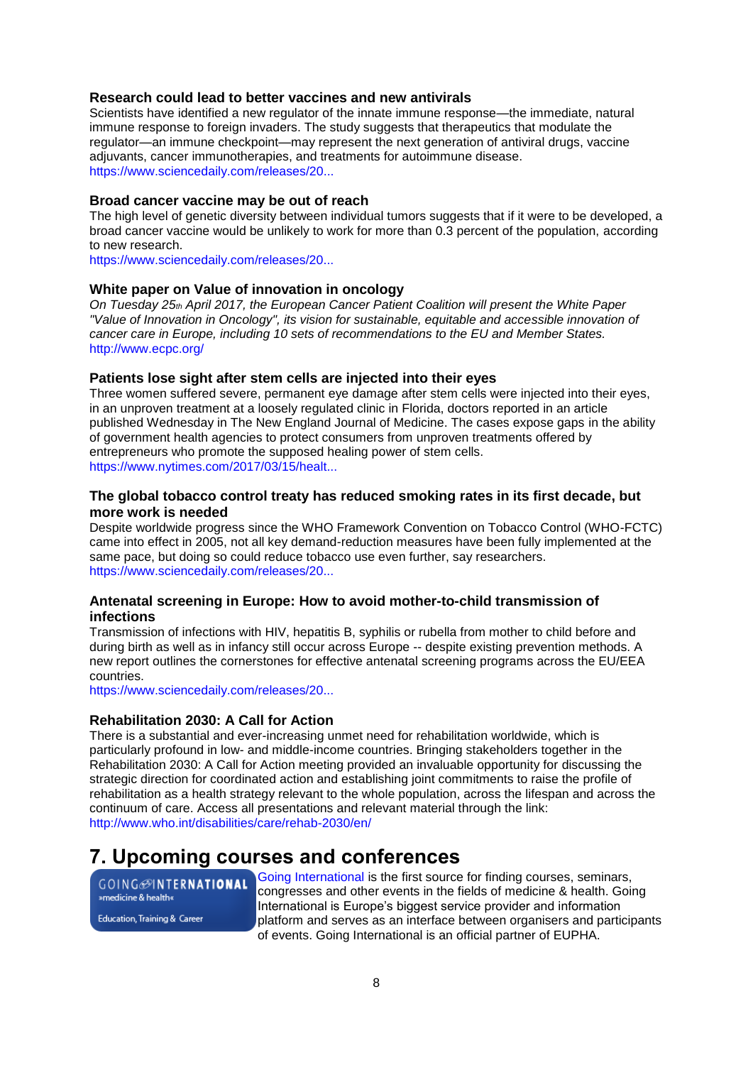### **Research could lead to better vaccines and new antivirals**

Scientists have identified a new regulator of the innate immune response—the immediate, natural immune response to foreign invaders. The study suggests that therapeutics that modulate the regulator—an immune checkpoint—may represent the next generation of antiviral drugs, vaccine adjuvants, cancer immunotherapies, and treatments for autoimmune disease. [https://www.sciencedaily.com/releases/20...](https://www.sciencedaily.com/releases/2017/02/170227121301.htm?utm_source=feedburner&utm_medium=email&utm_campaign=Feed%3A+sciencedaily%2Fscience_society%2Fpublic_health+%28Public+Health+News+--+Scien)

#### **Broad cancer vaccine may be out of reach**

The high level of genetic diversity between individual tumors suggests that if it were to be developed, a broad cancer vaccine would be unlikely to work for more than 0.3 percent of the population, according to new research.

[https://www.sciencedaily.com/releases/20...](https://www.sciencedaily.com/releases/2017/02/170223202031.htm?utm_source=feedburner&utm_medium=email&utm_campaign=Feed%3A+sciencedaily%2Fscience_society%2Fpublic_health+%28Public+Health+News+--+Scien)

#### **White paper on Value of innovation in oncology**

*On Tuesday 25th April 2017, the European Cancer Patient Coalition will present the White Paper "Value of Innovation in Oncology", its vision for sustainable, equitable and accessible innovation of cancer care in Europe, including 10 sets of recommendations to the EU and Member States.* <http://www.ecpc.org/>

#### **Patients lose sight after stem cells are injected into their eyes**

Three women suffered severe, permanent eye damage after stem cells were injected into their eyes, in an unproven treatment at a loosely regulated clinic in Florida, doctors reported in an article published Wednesday in The New England Journal of Medicine. The cases expose gaps in the ability of government health agencies to protect consumers from unproven treatments offered by entrepreneurs who promote the supposed healing power of stem cells. [https://www.nytimes.com/2017/03/15/healt...](https://www.nytimes.com/2017/03/15/health/eyes-stem-cells-injections.html?rref=collection%2Fsectioncollection%2Fhealth&action=click&contentCollection=health®ion=rank&module=package&version=highligh)

### **The global tobacco control treaty has reduced smoking rates in its first decade, but more work is needed**

Despite worldwide progress since the WHO Framework Convention on Tobacco Control (WHO-FCTC) came into effect in 2005, not all key demand-reduction measures have been fully implemented at the same pace, but doing so could reduce tobacco use even further, say researchers. [https://www.sciencedaily.com/releases/20...](https://www.sciencedaily.com/releases/2017/03/170322100702.htm?utm_source=feedburner&utm_medium=email&utm_campaign=Feed%3A+sciencedaily%2Fscience_society%2Fpublic_health+%28Public+Health+News+--+Scien)

### **Antenatal screening in Europe: How to avoid mother-to-child transmission of infections**

Transmission of infections with HIV, hepatitis B, syphilis or rubella from mother to child before and during birth as well as in infancy still occur across Europe -- despite existing prevention methods. A new report outlines the cornerstones for effective antenatal screening programs across the EU/EEA countries.

[https://www.sciencedaily.com/releases/20...](https://www.sciencedaily.com/releases/2017/03/170321145310.htm?utm_source=feedburner&utm_medium=email&utm_campaign=Feed%3A+sciencedaily%2Fscience_society%2Fpublic_health+%28Public+Health+News+--+Scien)

#### **Rehabilitation 2030: A Call for Action**

There is a substantial and ever-increasing unmet need for rehabilitation worldwide, which is particularly profound in low- and middle-income countries. Bringing stakeholders together in the Rehabilitation 2030: A Call for Action meeting provided an invaluable opportunity for discussing the strategic direction for coordinated action and establishing joint commitments to raise the profile of rehabilitation as a health strategy relevant to the whole population, across the lifespan and across the continuum of care. Access all presentations and relevant material through the link: <http://www.who.int/disabilities/care/rehab-2030/en/>

## <span id="page-7-0"></span>**7. Upcoming courses and conferences**

GOING<sup>INTERNATIONAL</sup> »medicine & health« Education, Training & Career

[Going International](http://www.goinginternational.eu/) is the first source for finding courses, seminars, congresses and other events in the fields of medicine & health. Going International is Europe's biggest service provider and information platform and serves as an interface between organisers and participants of events. Going International is an official partner of EUPHA.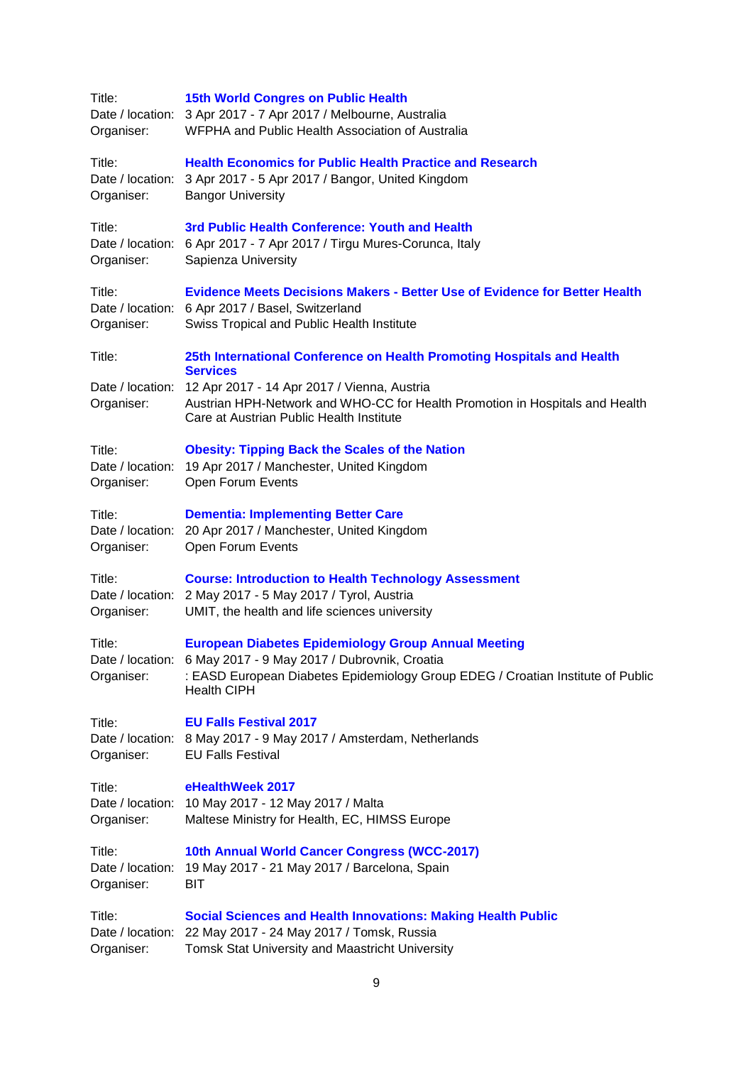| Title:<br>Organiser:                     | <b>15th World Congres on Public Health</b><br>Date / location: 3 Apr 2017 - 7 Apr 2017 / Melbourne, Australia<br>WFPHA and Public Health Association of Australia                                                                    |
|------------------------------------------|--------------------------------------------------------------------------------------------------------------------------------------------------------------------------------------------------------------------------------------|
| Title:<br>Date / location:<br>Organiser: | <b>Health Economics for Public Health Practice and Research</b><br>3 Apr 2017 - 5 Apr 2017 / Bangor, United Kingdom<br><b>Bangor University</b>                                                                                      |
| Title:<br>Organiser:                     | 3rd Public Health Conference: Youth and Health<br>Date / location: 6 Apr 2017 - 7 Apr 2017 / Tirgu Mures-Corunca, Italy<br>Sapienza University                                                                                       |
| Title:<br>Organiser:                     | <b>Evidence Meets Decisions Makers - Better Use of Evidence for Better Health</b><br>Date / location: 6 Apr 2017 / Basel, Switzerland<br>Swiss Tropical and Public Health Institute                                                  |
| Title:                                   | 25th International Conference on Health Promoting Hospitals and Health                                                                                                                                                               |
| Date / location:<br>Organiser:           | <b>Services</b><br>12 Apr 2017 - 14 Apr 2017 / Vienna, Austria<br>Austrian HPH-Network and WHO-CC for Health Promotion in Hospitals and Health<br>Care at Austrian Public Health Institute                                           |
| Title:<br>Organiser:                     | <b>Obesity: Tipping Back the Scales of the Nation</b><br>Date / location: 19 Apr 2017 / Manchester, United Kingdom<br>Open Forum Events                                                                                              |
| Title:<br>Date / location:<br>Organiser: | <b>Dementia: Implementing Better Care</b><br>20 Apr 2017 / Manchester, United Kingdom<br>Open Forum Events                                                                                                                           |
| Title:<br>Organiser:                     | <b>Course: Introduction to Health Technology Assessment</b><br>Date / location: 2 May 2017 - 5 May 2017 / Tyrol, Austria<br>UMIT, the health and life sciences university                                                            |
| Title:<br>Organiser:                     | <b>European Diabetes Epidemiology Group Annual Meeting</b><br>Date / location: 6 May 2017 - 9 May 2017 / Dubrovnik, Croatia<br>: EASD European Diabetes Epidemiology Group EDEG / Croatian Institute of Public<br><b>Health CIPH</b> |
| Title:<br>Organiser:                     | <b>EU Falls Festival 2017</b><br>Date / location: 8 May 2017 - 9 May 2017 / Amsterdam, Netherlands<br><b>EU Falls Festival</b>                                                                                                       |
| Title:<br>Date / location:<br>Organiser: | eHealthWeek 2017<br>10 May 2017 - 12 May 2017 / Malta<br>Maltese Ministry for Health, EC, HIMSS Europe                                                                                                                               |
| Title:<br>Date / location:<br>Organiser: | 10th Annual World Cancer Congress (WCC-2017)<br>19 May 2017 - 21 May 2017 / Barcelona, Spain<br><b>BIT</b>                                                                                                                           |
| Title:<br>Date / location:<br>Organiser: | <b>Social Sciences and Health Innovations: Making Health Public</b><br>22 May 2017 - 24 May 2017 / Tomsk, Russia<br>Tomsk Stat University and Maastricht University                                                                  |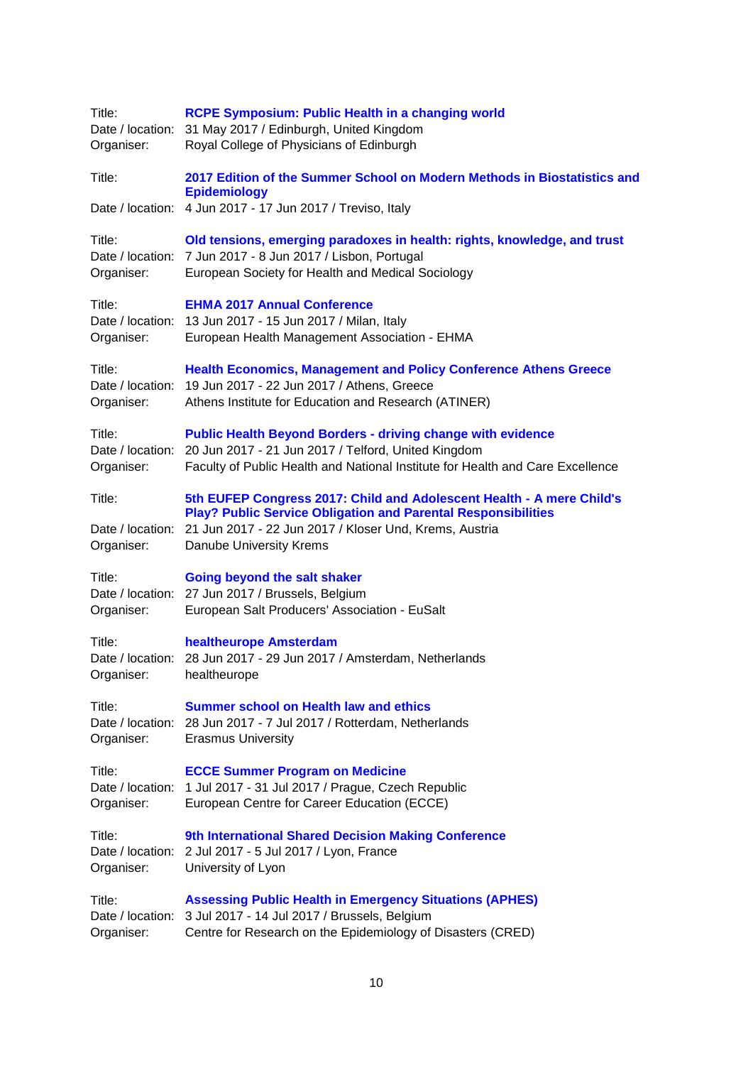| Title:<br>Organiser:                     | <b>RCPE Symposium: Public Health in a changing world</b><br>Date / location: 31 May 2017 / Edinburgh, United Kingdom<br>Royal College of Physicians of Edinburgh                                                                                    |
|------------------------------------------|-----------------------------------------------------------------------------------------------------------------------------------------------------------------------------------------------------------------------------------------------------|
| Title:                                   | 2017 Edition of the Summer School on Modern Methods in Biostatistics and<br><b>Epidemiology</b>                                                                                                                                                     |
|                                          | Date / location: 4 Jun 2017 - 17 Jun 2017 / Treviso, Italy                                                                                                                                                                                          |
| Title:<br>Organiser:                     | Old tensions, emerging paradoxes in health: rights, knowledge, and trust<br>Date / location: 7 Jun 2017 - 8 Jun 2017 / Lisbon, Portugal<br>European Society for Health and Medical Sociology                                                        |
| Title:<br>Organiser:                     | <b>EHMA 2017 Annual Conference</b><br>Date / location: 13 Jun 2017 - 15 Jun 2017 / Milan, Italy<br>European Health Management Association - EHMA                                                                                                    |
| Title:<br>Date / location:<br>Organiser: | <b>Health Economics, Management and Policy Conference Athens Greece</b><br>19 Jun 2017 - 22 Jun 2017 / Athens, Greece<br>Athens Institute for Education and Research (ATINER)                                                                       |
| Title:<br>Date / location:<br>Organiser: | <b>Public Health Beyond Borders - driving change with evidence</b><br>20 Jun 2017 - 21 Jun 2017 / Telford, United Kingdom<br>Faculty of Public Health and National Institute for Health and Care Excellence                                         |
| Title:<br>Organiser:                     | 5th EUFEP Congress 2017: Child and Adolescent Health - A mere Child's<br><b>Play? Public Service Obligation and Parental Responsibilities</b><br>Date / location: 21 Jun 2017 - 22 Jun 2017 / Kloser Und, Krems, Austria<br>Danube University Krems |
| Title:<br>Organiser:                     | Going beyond the salt shaker<br>Date / location: 27 Jun 2017 / Brussels, Belgium<br>European Salt Producers' Association - EuSalt                                                                                                                   |
| Title:<br>Organiser:                     | healtheurope Amsterdam<br>Date / location: 28 Jun 2017 - 29 Jun 2017 / Amsterdam, Netherlands<br>healtheurope                                                                                                                                       |
| Title:<br>Organiser:                     | <b>Summer school on Health law and ethics</b><br>Date / location: 28 Jun 2017 - 7 Jul 2017 / Rotterdam, Netherlands<br><b>Erasmus University</b>                                                                                                    |
| Title:<br>Organiser:                     | <b>ECCE Summer Program on Medicine</b><br>Date / location: 1 Jul 2017 - 31 Jul 2017 / Prague, Czech Republic<br>European Centre for Career Education (ECCE)                                                                                         |
| Title:<br>Date / location:<br>Organiser: | 9th International Shared Decision Making Conference<br>2 Jul 2017 - 5 Jul 2017 / Lyon, France<br>University of Lyon                                                                                                                                 |
| Title:<br>Date / location:<br>Organiser: | <b>Assessing Public Health in Emergency Situations (APHES)</b><br>3 Jul 2017 - 14 Jul 2017 / Brussels, Belgium<br>Centre for Research on the Epidemiology of Disasters (CRED)                                                                       |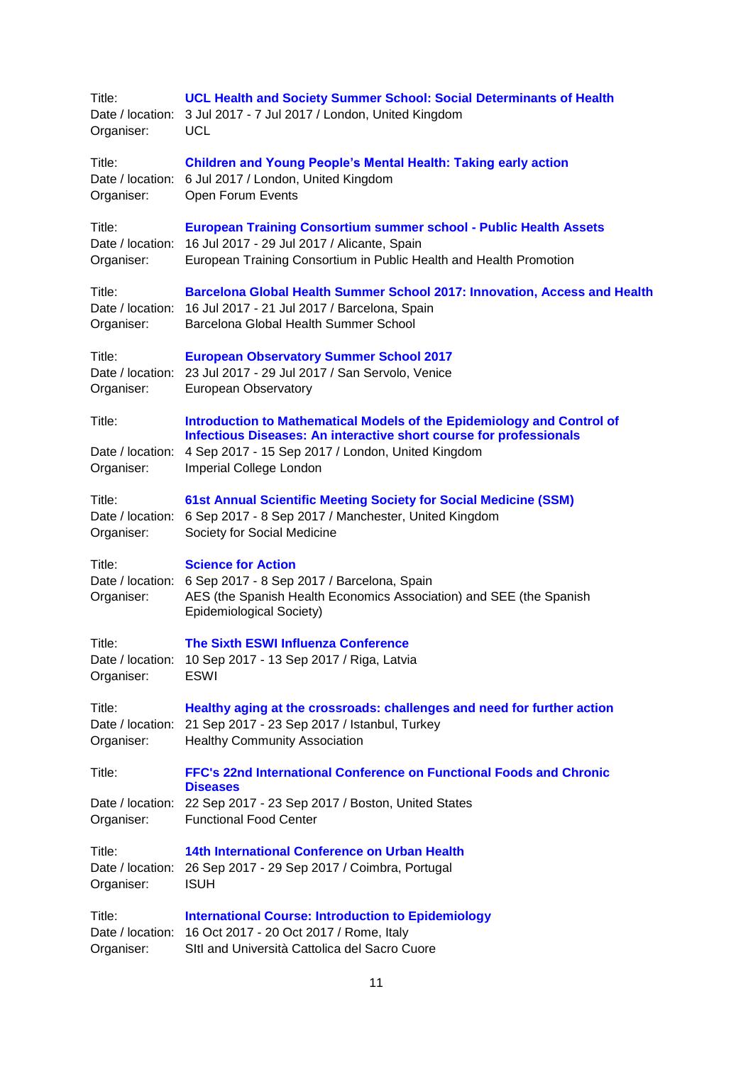| Title:<br>Date / location:<br>Organiser: | <b>UCL Health and Society Summer School: Social Determinants of Health</b><br>3 Jul 2017 - 7 Jul 2017 / London, United Kingdom<br><b>UCL</b>                                                  |
|------------------------------------------|-----------------------------------------------------------------------------------------------------------------------------------------------------------------------------------------------|
| Title:<br>Date / location:<br>Organiser: | <b>Children and Young People's Mental Health: Taking early action</b><br>6 Jul 2017 / London, United Kingdom<br>Open Forum Events                                                             |
| Title:<br>Date / location:<br>Organiser: | <b>European Training Consortium summer school - Public Health Assets</b><br>16 Jul 2017 - 29 Jul 2017 / Alicante, Spain<br>European Training Consortium in Public Health and Health Promotion |
| Title:<br>Date / location:<br>Organiser: | <b>Barcelona Global Health Summer School 2017: Innovation, Access and Health</b><br>16 Jul 2017 - 21 Jul 2017 / Barcelona, Spain<br>Barcelona Global Health Summer School                     |
| Title:<br>Organiser:                     | <b>European Observatory Summer School 2017</b><br>Date / location: 23 Jul 2017 - 29 Jul 2017 / San Servolo, Venice<br><b>European Observatory</b>                                             |
| Title:                                   | Introduction to Mathematical Models of the Epidemiology and Control of                                                                                                                        |
| Date / location:<br>Organiser:           | Infectious Diseases: An interactive short course for professionals<br>4 Sep 2017 - 15 Sep 2017 / London, United Kingdom<br>Imperial College London                                            |
| Title:<br>Date / location:<br>Organiser: | 61st Annual Scientific Meeting Society for Social Medicine (SSM)<br>6 Sep 2017 - 8 Sep 2017 / Manchester, United Kingdom<br>Society for Social Medicine                                       |
| Title:<br>Date / location:<br>Organiser: | <b>Science for Action</b><br>6 Sep 2017 - 8 Sep 2017 / Barcelona, Spain<br>AES (the Spanish Health Economics Association) and SEE (the Spanish<br>Epidemiological Society)                    |
| Title:<br>Organiser:                     | <b>The Sixth ESWI Influenza Conference</b><br>Date / location: 10 Sep 2017 - 13 Sep 2017 / Riga, Latvia<br><b>ESWI</b>                                                                        |
| Title:<br>Date / location:<br>Organiser: | Healthy aging at the crossroads: challenges and need for further action<br>21 Sep 2017 - 23 Sep 2017 / Istanbul, Turkey<br><b>Healthy Community Association</b>                               |
| Title:                                   | FFC's 22nd International Conference on Functional Foods and Chronic                                                                                                                           |
| Organiser:                               | <b>Diseases</b><br>Date / location: 22 Sep 2017 - 23 Sep 2017 / Boston, United States<br><b>Functional Food Center</b>                                                                        |
| Title:<br>Date / location:<br>Organiser: | 14th International Conference on Urban Health<br>26 Sep 2017 - 29 Sep 2017 / Coimbra, Portugal<br><b>ISUH</b>                                                                                 |
| Title:<br>Organiser:                     | <b>International Course: Introduction to Epidemiology</b><br>Date / location: 16 Oct 2017 - 20 Oct 2017 / Rome, Italy<br>SItl and Università Cattolica del Sacro Cuore                        |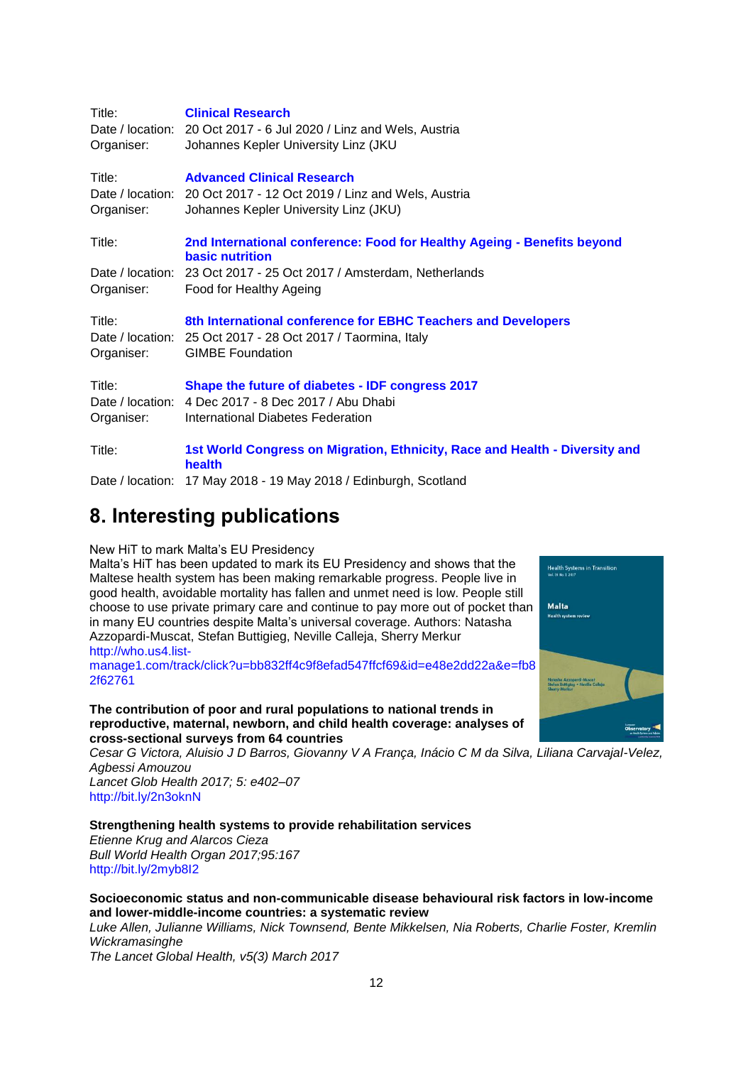| Title:<br>Organiser: | <b>Clinical Research</b><br>Date / location: 20 Oct 2017 - 6 Jul 2020 / Linz and Wels, Austria<br>Johannes Kepler University Linz (JKU                   |
|----------------------|----------------------------------------------------------------------------------------------------------------------------------------------------------|
| Title:<br>Organiser: | <b>Advanced Clinical Research</b><br>Date / location: 20 Oct 2017 - 12 Oct 2019 / Linz and Wels, Austria<br>Johannes Kepler University Linz (JKU)        |
| Title:               | 2nd International conference: Food for Healthy Ageing - Benefits beyond<br><b>basic nutrition</b>                                                        |
| Organiser:           | Date / location: 23 Oct 2017 - 25 Oct 2017 / Amsterdam, Netherlands<br>Food for Healthy Ageing                                                           |
| Title:<br>Organiser: | 8th International conference for EBHC Teachers and Developers<br>Date / location: 25 Oct 2017 - 28 Oct 2017 / Taormina, Italy<br><b>GIMBE Foundation</b> |
| Title:<br>Organiser: | Shape the future of diabetes - IDF congress 2017<br>Date / location: 4 Dec 2017 - 8 Dec 2017 / Abu Dhabi<br>International Diabetes Federation            |
| Title:               | 1st World Congress on Migration, Ethnicity, Race and Health - Diversity and<br>health                                                                    |
| Date / location:     | 17 May 2018 - 19 May 2018 / Edinburgh, Scotland                                                                                                          |

## <span id="page-11-0"></span>**8. Interesting publications**

#### [New HiT to mark Malta's EU Presidency](http://who.us4.list-manage1.com/track/click?u=bb832ff4c9f8efad547ffcf69&id=e48e2dd22a&e=fb82f62761)

Malta's HiT has been updated to mark its EU Presidency and shows that the Maltese health system has been making remarkable progress. People live in good health, avoidable mortality has fallen and unmet need is low. People still choose to use private primary care and continue to pay more out of pocket than in many EU countries despite Malta's universal coverage. Authors: Natasha Azzopardi-Muscat, Stefan Buttigieg, Neville Calleja, Sherry Merkur http://who.us4.list-

manage1.com/track/click?u=bb832ff4c9f8efad547ffcf69&id=e48e2dd22a&e=fb8 2f62761

**The contribution of poor and rural populations to national trends in reproductive, maternal, newborn, and child health coverage: analyses of cross-sectional surveys from 64 countries**

*Cesar G Victora, Aluisio J D Barros, Giovanny V A França, Inácio C M da Silva, Liliana Carvajal-Velez, Agbessi Amouzou*

*Lancet Glob Health 2017; 5: e402–07*  <http://bit.ly/2n3oknN>

### **Strengthening health systems to provide rehabilitation services**

*Etienne Krug and Alarcos Cieza Bull World Health Organ 2017;95:167* <http://bit.ly/2myb8I2>

### **Socioeconomic status and non-communicable disease behavioural risk factors in low-income and lower-middle-income countries: a systematic review**

*Luke Allen, Julianne Williams, Nick Townsend, Bente Mikkelsen, Nia Roberts, Charlie Foster, Kremlin Wickramasinghe*

*The Lancet Global Health, v5(3) March 2017*

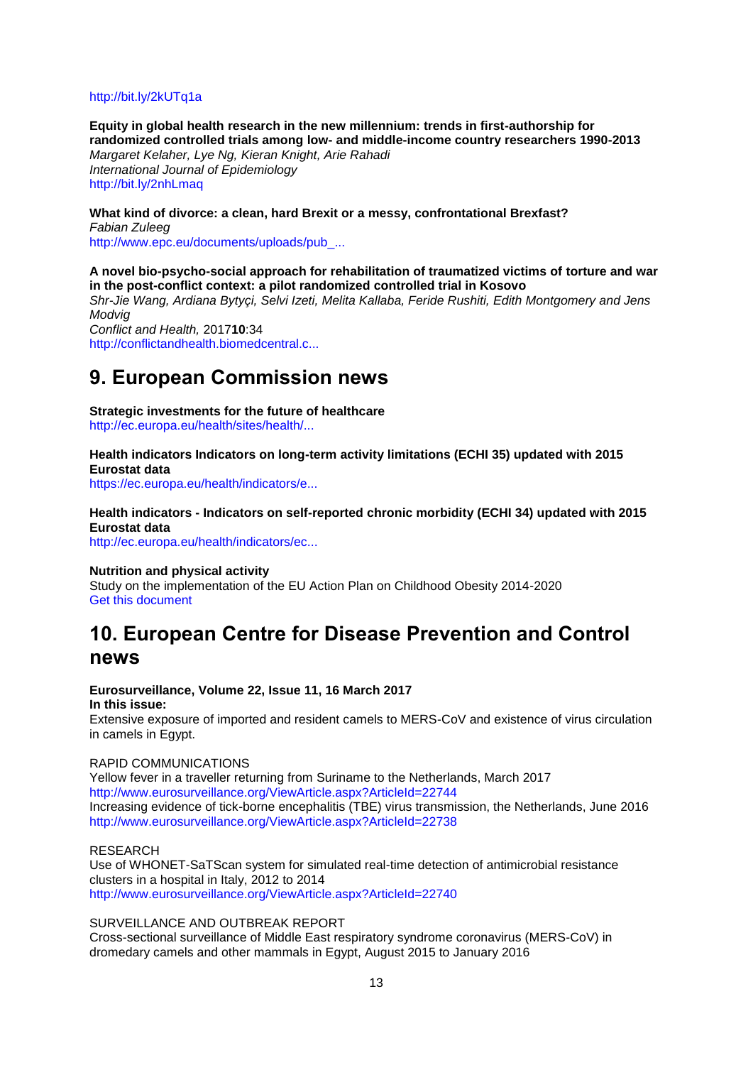#### <http://bit.ly/2kUTq1a>

**Equity in global health research in the new millennium: trends in first-authorship for randomized controlled trials among low- and middle-income country researchers 1990-2013** *Margaret Kelaher, Lye Ng, Kieran Knight, Arie Rahadi International Journal of Epidemiology* <http://bit.ly/2nhLmaq>

**What kind of divorce: a clean, hard Brexit or a messy, confrontational Brexfast?** *Fabian Zuleeg* [http://www.epc.eu/documents/uploads/pub\\_...](http://www.epc.eu/documents/uploads/pub_7481_whatkindofdivorce.pdf)

**A novel bio-psycho-social approach for rehabilitation of traumatized victims of torture and war in the post-conflict context: a pilot randomized controlled trial in Kosovo**

*Shr-Jie Wang, Ardiana Bytyçi, Selvi Izeti, Melita Kallaba, Feride Rushiti, Edith Montgomery and Jens Modvig*

*Conflict and Health,* 2017**10**:34 [http://conflictandhealth.biomedcentral.c...](http://conflictandhealth.biomedcentral.com/articles/10.1186/s13031-016-0100-y)

## <span id="page-12-0"></span>**9. European Commission news**

#### **Strategic investments for the future of healthcare**

[http://ec.europa.eu/health/sites/health/...](http://ec.europa.eu/health/sites/health/files/investment_plan/docs/ev_20170227_mi_en.pdf)

**Health indicators Indicators on long-term activity limitations (ECHI 35) updated with 2015 Eurostat data**

[https://ec.europa.eu/health/indicators/e...](https://ec.europa.eu/health/indicators/echi/list_en#id2)

### **Health indicators - Indicators on self-reported chronic morbidity (ECHI 34) updated with 2015 Eurostat data**

[http://ec.europa.eu/health/indicators/ec...](http://ec.europa.eu/health/indicators/echi/list_en#id2)

#### **Nutrition and physical activity**

Study on the implementation of the EU Action Plan on Childhood Obesity 2014-2020 [Get this document](https://ec.europa.eu/health/sites/health/files/nutrition_physical_activity/docs/cho-study_actionplan_2014_2020_en.pdf)

## <span id="page-12-1"></span>**10. European Centre for Disease Prevention and Control news**

#### **Eurosurveillance, Volume 22, Issue 11, 16 March 2017**

**In this issue:** 

Extensive exposure of imported and resident camels to MERS-CoV and existence of virus circulation in camels in Egypt.

#### RAPID COMMUNICATIONS

Yellow fever in a traveller returning from Suriname to the Netherlands, March 2017 <http://www.eurosurveillance.org/ViewArticle.aspx?ArticleId=22744> Increasing evidence of tick-borne encephalitis (TBE) virus transmission, the Netherlands, June 2016 <http://www.eurosurveillance.org/ViewArticle.aspx?ArticleId=22738>

#### RESEARCH

Use of WHONET-SaTScan system for simulated real-time detection of antimicrobial resistance clusters in a hospital in Italy, 2012 to 2014 <http://www.eurosurveillance.org/ViewArticle.aspx?ArticleId=22740>

#### SURVEILLANCE AND OUTBREAK REPORT

Cross-sectional surveillance of Middle East respiratory syndrome coronavirus (MERS-CoV) in dromedary camels and other mammals in Egypt, August 2015 to January 2016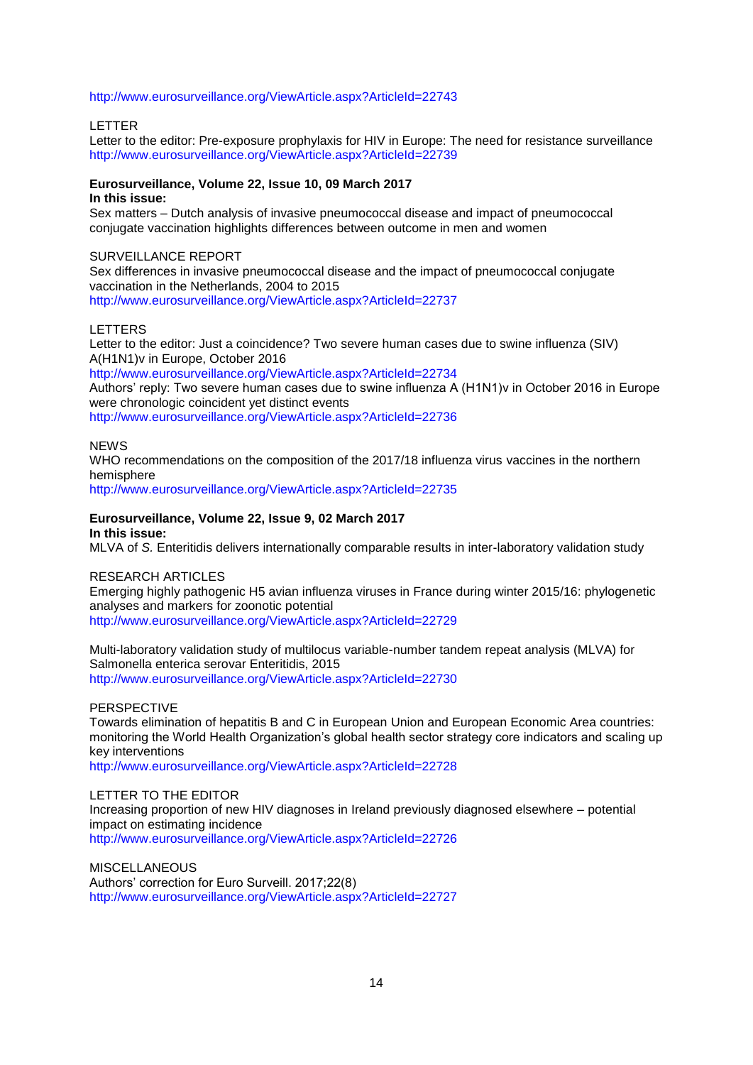#### <http://www.eurosurveillance.org/ViewArticle.aspx?ArticleId=22743>

#### LETTER

Letter to the editor: Pre-exposure prophylaxis for HIV in Europe: The need for resistance surveillance <http://www.eurosurveillance.org/ViewArticle.aspx?ArticleId=22739>

#### **Eurosurveillance, Volume 22, Issue 10, 09 March 2017 In this issue:**

Sex matters – Dutch analysis of invasive pneumococcal disease and impact of pneumococcal conjugate vaccination highlights differences between outcome in men and women

#### SURVEILLANCE REPORT

Sex differences in invasive pneumococcal disease and the impact of pneumococcal conjugate vaccination in the Netherlands, 2004 to 2015 <http://www.eurosurveillance.org/ViewArticle.aspx?ArticleId=22737>

#### LETTERS

Letter to the editor: Just a coincidence? Two severe human cases due to swine influenza (SIV) A(H1N1)v in Europe, October 2016 <http://www.eurosurveillance.org/ViewArticle.aspx?ArticleId=22734> Authors' reply: Two severe human cases due to swine influenza A (H1N1)v in October 2016 in Europe were chronologic coincident yet distinct events <http://www.eurosurveillance.org/ViewArticle.aspx?ArticleId=22736>

#### NEWS

WHO recommendations on the composition of the 2017/18 influenza virus vaccines in the northern hemisphere

<http://www.eurosurveillance.org/ViewArticle.aspx?ArticleId=22735>

#### **Eurosurveillance, Volume 22, Issue 9, 02 March 2017 In this issue:**

MLVA of *S.* Enteritidis delivers internationally comparable results in inter-laboratory validation study

#### RESEARCH ARTICLES

Emerging highly pathogenic H5 avian influenza viruses in France during winter 2015/16: phylogenetic analyses and markers for zoonotic potential <http://www.eurosurveillance.org/ViewArticle.aspx?ArticleId=22729>

Multi-laboratory validation study of multilocus variable-number tandem repeat analysis (MLVA) for Salmonella enterica serovar Enteritidis, 2015 <http://www.eurosurveillance.org/ViewArticle.aspx?ArticleId=22730>

#### PERSPECTIVE

Towards elimination of hepatitis B and C in European Union and European Economic Area countries: monitoring the World Health Organization's global health sector strategy core indicators and scaling up key interventions

<http://www.eurosurveillance.org/ViewArticle.aspx?ArticleId=22728>

#### LETTER TO THE EDITOR

Increasing proportion of new HIV diagnoses in Ireland previously diagnosed elsewhere – potential impact on estimating incidence <http://www.eurosurveillance.org/ViewArticle.aspx?ArticleId=22726>

MISCELLANEOUS Authors' correction for Euro Surveill. 2017;22(8) <http://www.eurosurveillance.org/ViewArticle.aspx?ArticleId=22727>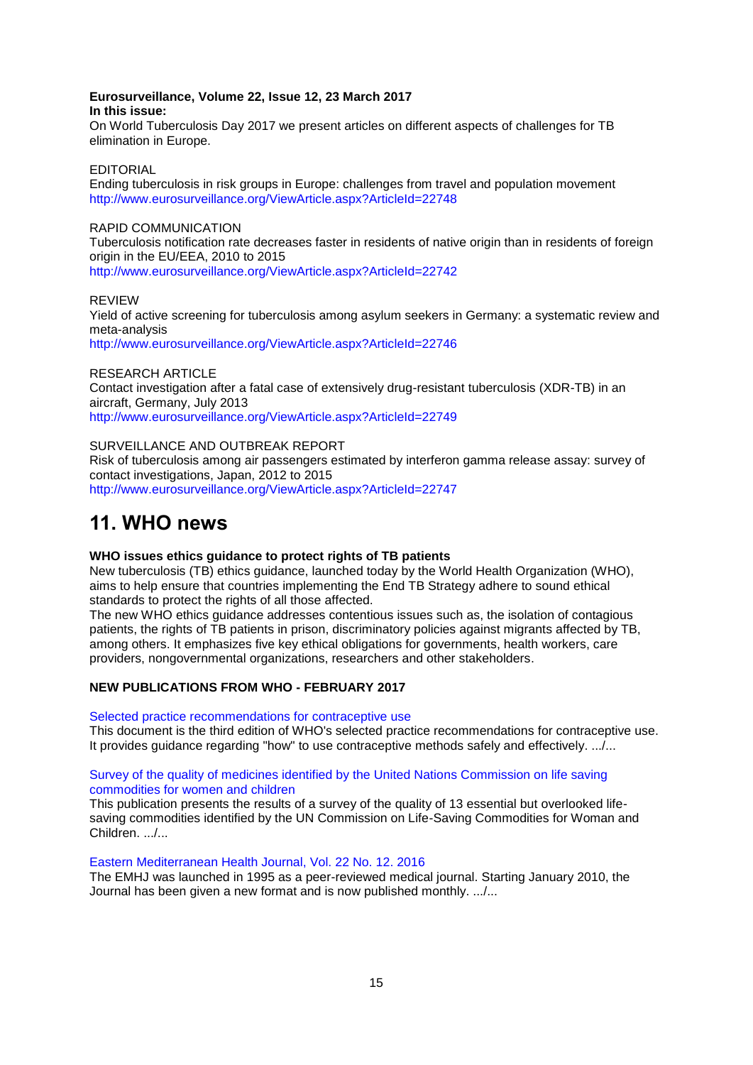#### **Eurosurveillance, Volume 22, Issue 12, 23 March 2017 In this issue:**

On World Tuberculosis Day 2017 we present articles on different aspects of challenges for TB elimination in Europe.

### EDITORIAL

Ending tuberculosis in risk groups in Europe: challenges from travel and population movement <http://www.eurosurveillance.org/ViewArticle.aspx?ArticleId=22748>

### RAPID COMMUNICATION

Tuberculosis notification rate decreases faster in residents of native origin than in residents of foreign origin in the EU/EEA, 2010 to 2015

<http://www.eurosurveillance.org/ViewArticle.aspx?ArticleId=22742>

### REVIEW

Yield of active screening for tuberculosis among asylum seekers in Germany: a systematic review and meta-analysis

<http://www.eurosurveillance.org/ViewArticle.aspx?ArticleId=22746>

### RESEARCH ARTICLE

Contact investigation after a fatal case of extensively drug-resistant tuberculosis (XDR-TB) in an aircraft, Germany, July 2013 <http://www.eurosurveillance.org/ViewArticle.aspx?ArticleId=22749>

#### SURVEILLANCE AND OUTBREAK REPORT

Risk of tuberculosis among air passengers estimated by interferon gamma release assay: survey of contact investigations, Japan, 2012 to 2015 <http://www.eurosurveillance.org/ViewArticle.aspx?ArticleId=22747>

## <span id="page-14-0"></span>**11. WHO news**

### **WHO issues ethics guidance to protect rights of TB patients**

New tuberculosis (TB) ethics guidance, launched today by the World Health Organization (WHO), aims to help ensure that countries implementing the End TB Strategy adhere to sound ethical standards to protect the rights of all those affected.

The new WHO ethics guidance addresses contentious issues such as, the isolation of contagious patients, the rights of TB patients in prison, discriminatory policies against migrants affected by TB, among others. It emphasizes five key ethical obligations for governments, health workers, care providers, nongovernmental organizations, researchers and other stakeholders.

### **NEW PUBLICATIONS FROM WHO - FEBRUARY 2017**

### [Selected practice recommendations for contraceptive use](http://www.who.int/reproductivehealth/topics/family_planning/SPR-3/en/)

This document is the third edition of WHO's selected practice recommendations for contraceptive use. It provides guidance regarding "how" to use contraceptive methods safely and effectively. .../...

### [Survey of the quality of medicines identified by the United Nations Commission on life saving](http://apps.who.int/bookorders/anglais/detart1.jsp?codlan=1&codcol=93&codcch=358)  [commodities for women and children](http://apps.who.int/bookorders/anglais/detart1.jsp?codlan=1&codcol=93&codcch=358)

This publication presents the results of a survey of the quality of 13 essential but overlooked lifesaving commodities identified by the UN Commission on Life-Saving Commodities for Woman and Children. .../...

### [Eastern Mediterranean Health Journal, Vol. 22 No. 12. 2016](http://apps.who.int/bookorders/anglais/detart1.jsp?codlan=1&codcol=80&codcch=654&content=1)

The EMHJ was launched in 1995 as a peer-reviewed medical journal. Starting January 2010, the Journal has been given a new format and is now published monthly. .../...